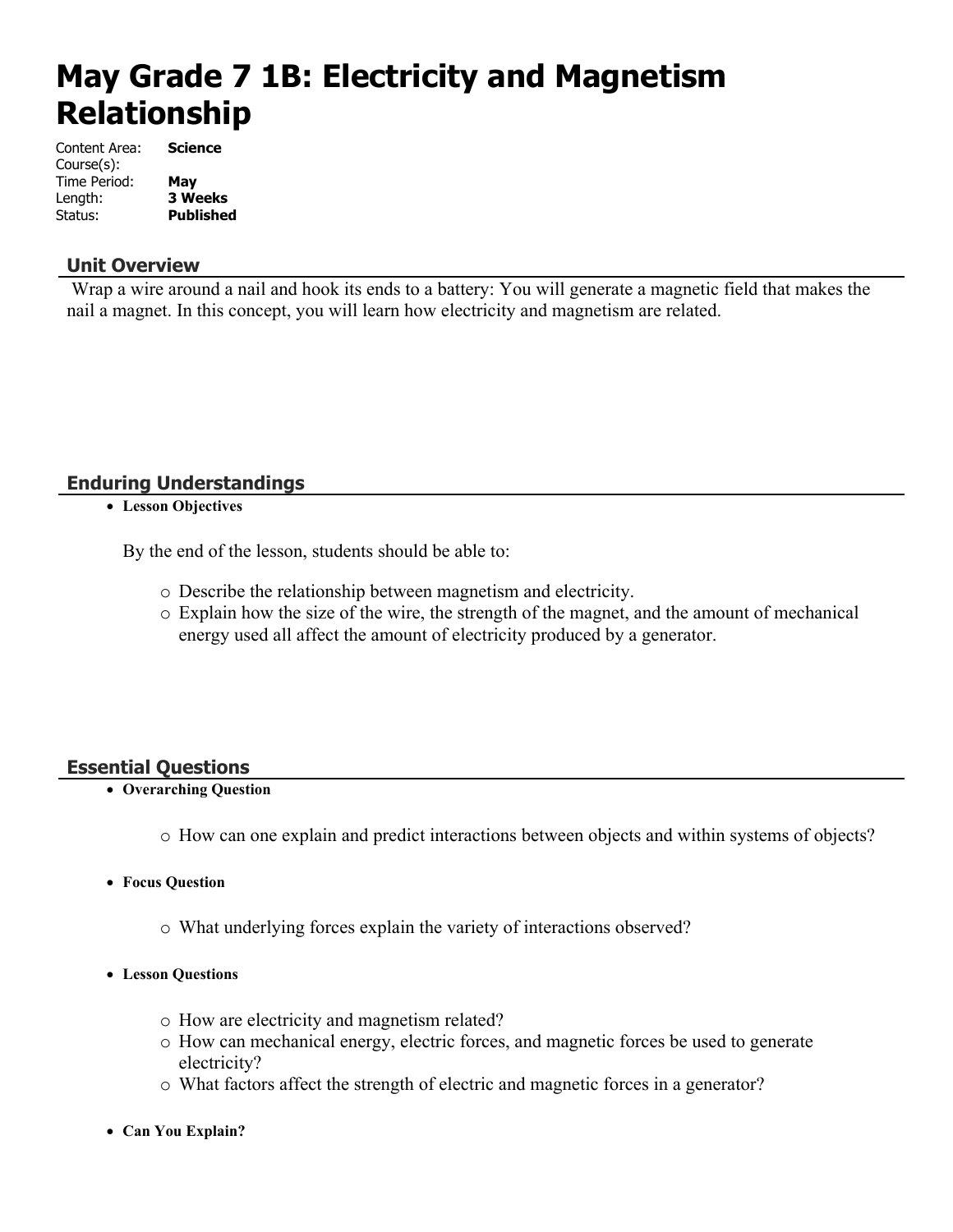# **May Grade 7 1B: Electricity and Magnetism Relationship**

| Content Area: | Science          |
|---------------|------------------|
| Course(s):    |                  |
| Time Period:  | May              |
| Length:       | <b>3 Weeks</b>   |
| Status:       | <b>Published</b> |

### **Unit Overview**

 Wrap a wire around a nail and hook its ends to a battery: You will generate a magnetic field that makes the nail a magnet. In this concept, you will learn how electricity and magnetism are related.

### **Enduring Understandings**

**Lesson Objectives**

By the end of the lesson, students should be able to:

- o Describe the relationship between magnetism and electricity.
- o Explain how the size of the wire, the strength of the magnet, and the amount of mechanical energy used all affect the amount of electricity produced by a generator.

### **Essential Questions**

- **Overarching Question**
	- o How can one explain and predict interactions between objects and within systems of objects?
- **Focus Question**
	- o What underlying forces explain the variety of interactions observed?
- **Lesson Questions**
	- o How are electricity and magnetism related?
	- o How can mechanical energy, electric forces, and magnetic forces be used to generate electricity?
	- o What factors affect the strength of electric and magnetic forces in a generator?
- **Can You Explain?**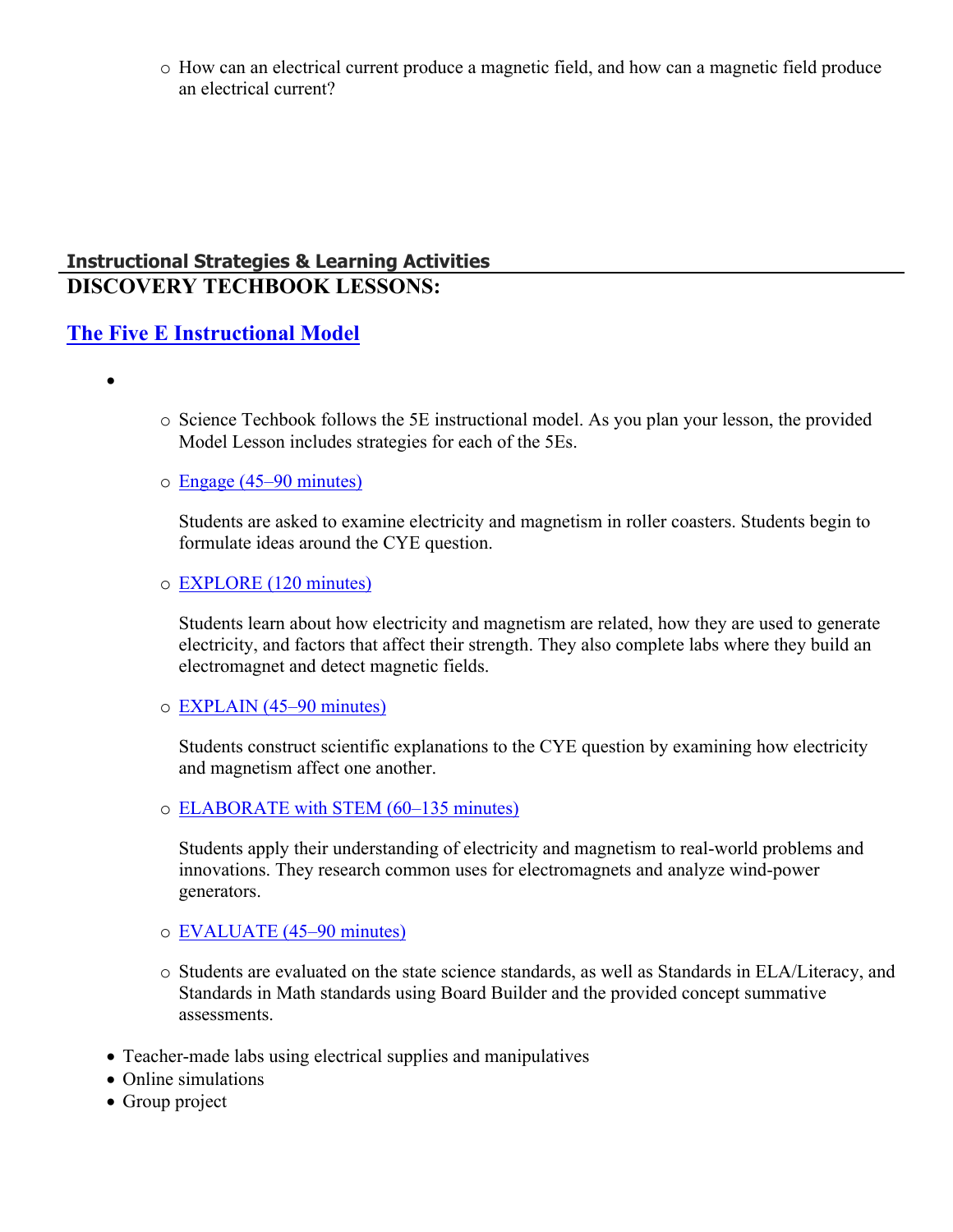o How can an electrical current produce a magnetic field, and how can a magnetic field produce an electrical current?

### **Instructional Strategies & Learning Activities DISCOVERY TECHBOOK LESSONS:**

### **[The Five E Instructional Model](https://app.discoveryeducation.com/learn/techbook/units/6e12ba08-11c1-4377-9baa-61b774e9b161/concepts/9a3a6140-c843-435b-8ec1-7ddf8bf4db30/lesson/sections/b457246a-0b34-4b60-97b2-e8c34a5cbbce#e001c605-e025-4127-b8c2-f06ff7673f9e)**

- $\bullet$
- $\circ$  Science Techbook follows the 5E instructional model. As you plan your lesson, the provided Model Lesson includes strategies for each of the 5Es.

### o [Engage \(45–90 minutes\)](https://app.discoveryeducation.com/learn/techbook/units/6e12ba08-11c1-4377-9baa-61b774e9b161/concepts/9a3a6140-c843-435b-8ec1-7ddf8bf4db30/lesson/sections/b457246a-0b34-4b60-97b2-e8c34a5cbbce#147feecb-3f23-426a-b9ec-9c5b02f1c431)

Students are asked to examine electricity and magnetism in roller coasters. Students begin to formulate ideas around the CYE question.

### o [EXPLORE \(120 minutes\)](https://app.discoveryeducation.com/learn/techbook/units/6e12ba08-11c1-4377-9baa-61b774e9b161/concepts/9a3a6140-c843-435b-8ec1-7ddf8bf4db30/lesson/sections/b457246a-0b34-4b60-97b2-e8c34a5cbbce#dfc8c023-f75c-45cb-bdfe-91ad2008c0d5)

Students learn about how electricity and magnetism are related, how they are used to generate electricity, and factors that affect their strength. They also complete labs where they build an electromagnet and detect magnetic fields.

### o [EXPLAIN \(45–90 minutes\)](https://app.discoveryeducation.com/learn/techbook/units/6e12ba08-11c1-4377-9baa-61b774e9b161/concepts/9a3a6140-c843-435b-8ec1-7ddf8bf4db30/lesson/sections/b457246a-0b34-4b60-97b2-e8c34a5cbbce#8fbcb3ae-b67f-43e6-ab0d-d22af8998b81)

Students construct scientific explanations to the CYE question by examining how electricity and magnetism affect one another.

o [ELABORATE with STEM \(60–135 minutes\)](https://app.discoveryeducation.com/learn/techbook/units/6e12ba08-11c1-4377-9baa-61b774e9b161/concepts/9a3a6140-c843-435b-8ec1-7ddf8bf4db30/lesson/sections/b457246a-0b34-4b60-97b2-e8c34a5cbbce#6f8374ef-3efa-4042-b912-80e0f085595b)

Students apply their understanding of electricity and magnetism to real-world problems and innovations. They research common uses for electromagnets and analyze wind-power generators.

### o [EVALUATE \(45–90 minutes\)](https://app.discoveryeducation.com/learn/techbook/units/6e12ba08-11c1-4377-9baa-61b774e9b161/concepts/9a3a6140-c843-435b-8ec1-7ddf8bf4db30/lesson/sections/b457246a-0b34-4b60-97b2-e8c34a5cbbce#7a4ed50f-77c7-497b-9478-9f138c91d701)

- o Students are evaluated on the state science standards, as well as Standards in ELA/Literacy, and Standards in Math standards using Board Builder and the provided concept summative assessments.
- Teacher-made labs using electrical supplies and manipulatives
- Online simulations
- Group project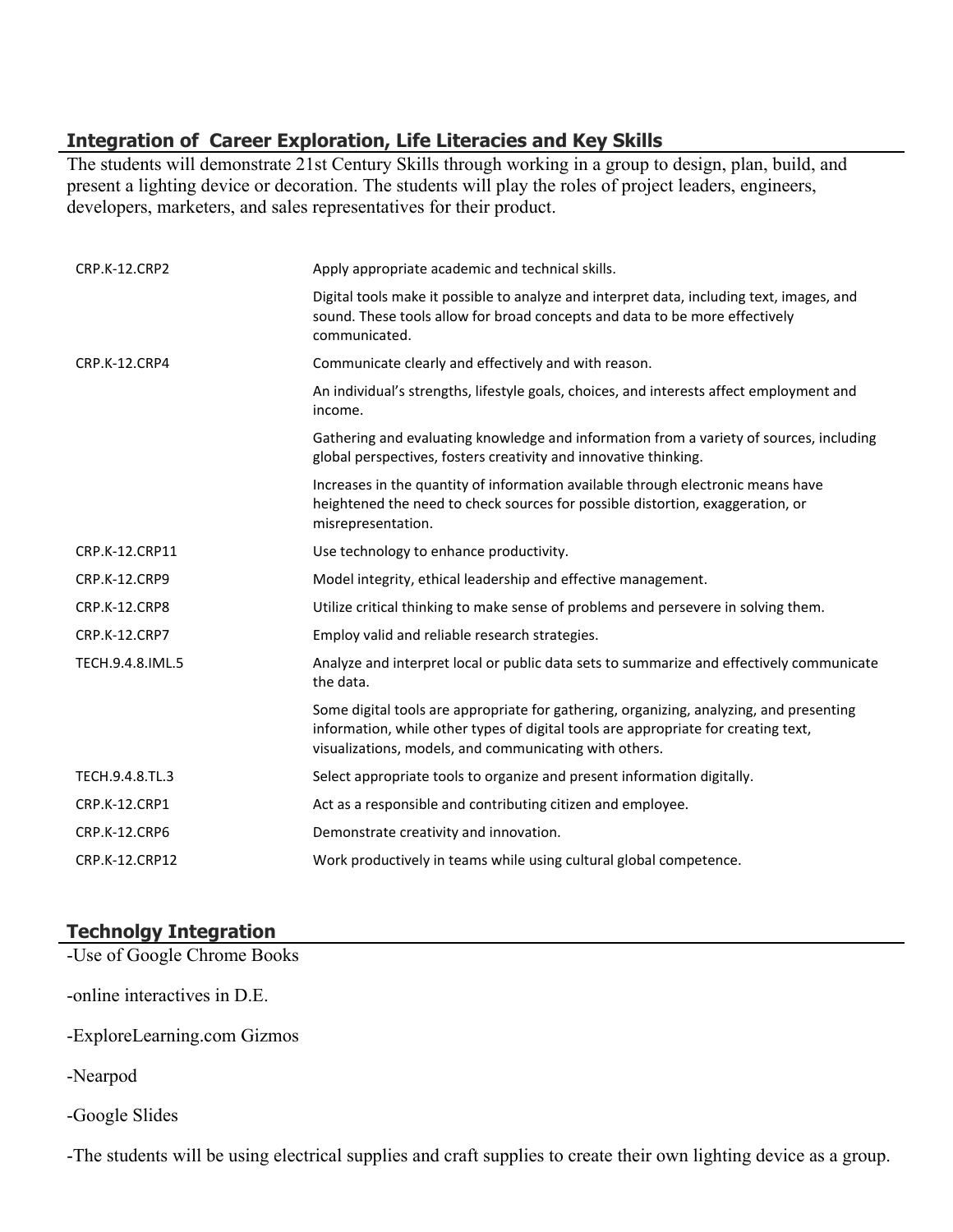### **Integration of Career Exploration, Life Literacies and Key Skills**

The students will demonstrate 21st Century Skills through working in a group to design, plan, build, and present a lighting device or decoration. The students will play the roles of project leaders, engineers, developers, marketers, and sales representatives for their product.

| <b>CRP.K-12.CRP2</b> | Apply appropriate academic and technical skills.                                                                                                                                                                                        |
|----------------------|-----------------------------------------------------------------------------------------------------------------------------------------------------------------------------------------------------------------------------------------|
|                      | Digital tools make it possible to analyze and interpret data, including text, images, and<br>sound. These tools allow for broad concepts and data to be more effectively<br>communicated.                                               |
| CRP.K-12.CRP4        | Communicate clearly and effectively and with reason.                                                                                                                                                                                    |
|                      | An individual's strengths, lifestyle goals, choices, and interests affect employment and<br>income.                                                                                                                                     |
|                      | Gathering and evaluating knowledge and information from a variety of sources, including<br>global perspectives, fosters creativity and innovative thinking.                                                                             |
|                      | Increases in the quantity of information available through electronic means have<br>heightened the need to check sources for possible distortion, exaggeration, or<br>misrepresentation.                                                |
| CRP.K-12.CRP11       | Use technology to enhance productivity.                                                                                                                                                                                                 |
| CRP.K-12.CRP9        | Model integrity, ethical leadership and effective management.                                                                                                                                                                           |
| CRP.K-12.CRP8        | Utilize critical thinking to make sense of problems and persevere in solving them.                                                                                                                                                      |
| <b>CRP.K-12.CRP7</b> | Employ valid and reliable research strategies.                                                                                                                                                                                          |
| TECH.9.4.8.IML.5     | Analyze and interpret local or public data sets to summarize and effectively communicate<br>the data.                                                                                                                                   |
|                      | Some digital tools are appropriate for gathering, organizing, analyzing, and presenting<br>information, while other types of digital tools are appropriate for creating text,<br>visualizations, models, and communicating with others. |
| TECH.9.4.8.TL.3      | Select appropriate tools to organize and present information digitally.                                                                                                                                                                 |
| CRP.K-12.CRP1        | Act as a responsible and contributing citizen and employee.                                                                                                                                                                             |
| <b>CRP.K-12.CRP6</b> | Demonstrate creativity and innovation.                                                                                                                                                                                                  |
| CRP.K-12.CRP12       | Work productively in teams while using cultural global competence.                                                                                                                                                                      |

### **Technolgy Integration**

-Use of Google Chrome Books

-online interactives in D.E.

-ExploreLearning.com Gizmos

-Nearpod

-Google Slides

-The students will be using electrical supplies and craft supplies to create their own lighting device as a group.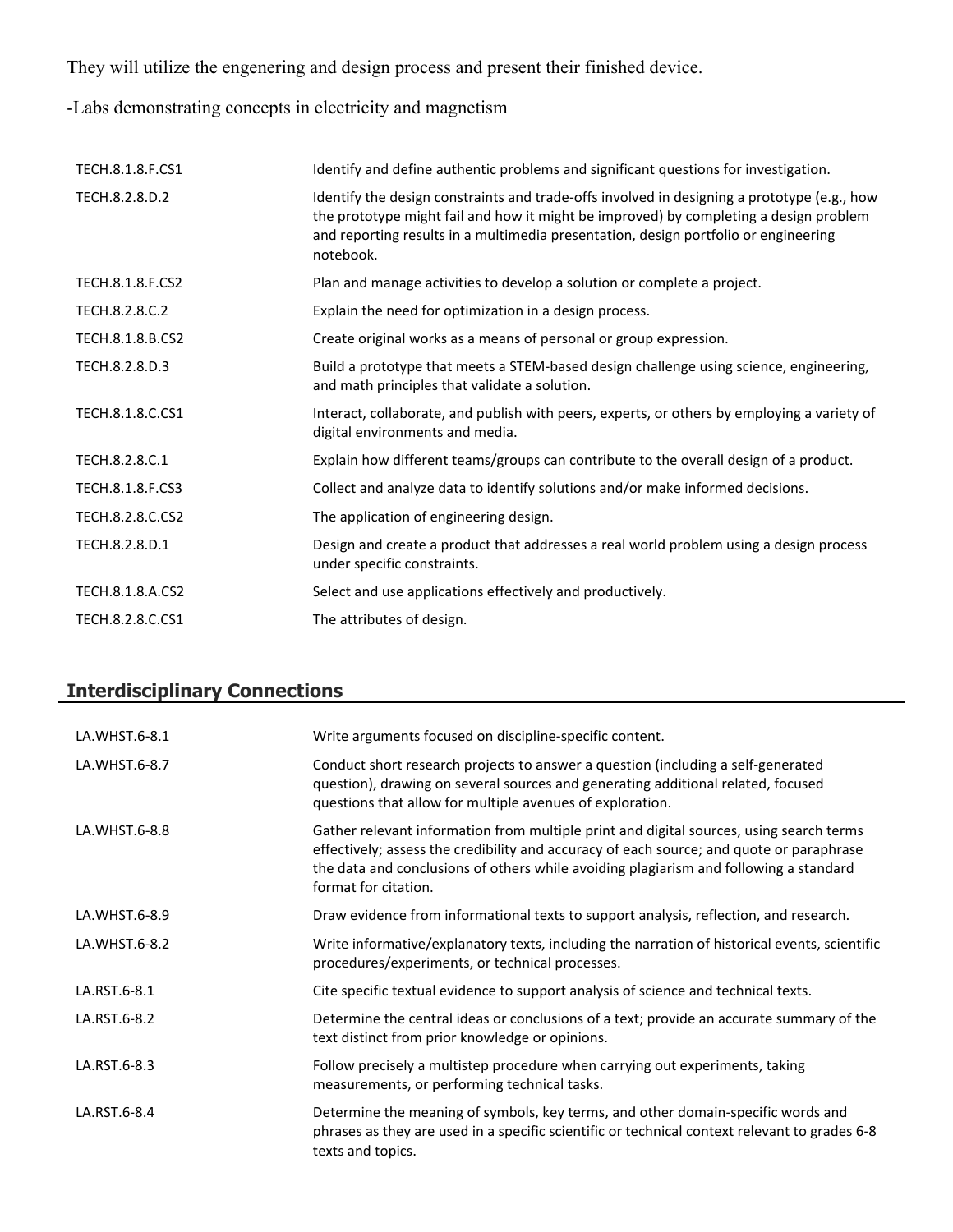They will utilize the engenering and design process and present their finished device.

-Labs demonstrating concepts in electricity and magnetism

| TECH.8.1.8.F.CS1 | Identify and define authentic problems and significant questions for investigation.                                                                                                                                                                                                      |
|------------------|------------------------------------------------------------------------------------------------------------------------------------------------------------------------------------------------------------------------------------------------------------------------------------------|
| TECH.8.2.8.D.2   | Identify the design constraints and trade-offs involved in designing a prototype (e.g., how<br>the prototype might fail and how it might be improved) by completing a design problem<br>and reporting results in a multimedia presentation, design portfolio or engineering<br>notebook. |
| TECH.8.1.8.F.CS2 | Plan and manage activities to develop a solution or complete a project.                                                                                                                                                                                                                  |
| TECH.8.2.8.C.2   | Explain the need for optimization in a design process.                                                                                                                                                                                                                                   |
| TECH.8.1.8.B.CS2 | Create original works as a means of personal or group expression.                                                                                                                                                                                                                        |
| TECH.8.2.8.D.3   | Build a prototype that meets a STEM-based design challenge using science, engineering,<br>and math principles that validate a solution.                                                                                                                                                  |
| TECH.8.1.8.C.CS1 | Interact, collaborate, and publish with peers, experts, or others by employing a variety of<br>digital environments and media.                                                                                                                                                           |
| TECH.8.2.8.C.1   | Explain how different teams/groups can contribute to the overall design of a product.                                                                                                                                                                                                    |
| TECH.8.1.8.F.CS3 | Collect and analyze data to identify solutions and/or make informed decisions.                                                                                                                                                                                                           |
| TECH.8.2.8.C.CS2 | The application of engineering design.                                                                                                                                                                                                                                                   |
| TECH.8.2.8.D.1   | Design and create a product that addresses a real world problem using a design process<br>under specific constraints.                                                                                                                                                                    |
| TECH.8.1.8.A.CS2 | Select and use applications effectively and productively.                                                                                                                                                                                                                                |
| TECH.8.2.8.C.CS1 | The attributes of design.                                                                                                                                                                                                                                                                |

## **Interdisciplinary Connections**

| LA.WHST.6-8.1 | Write arguments focused on discipline-specific content.                                                                                                                                                                                                                                              |
|---------------|------------------------------------------------------------------------------------------------------------------------------------------------------------------------------------------------------------------------------------------------------------------------------------------------------|
| LA.WHST.6-8.7 | Conduct short research projects to answer a question (including a self-generated<br>question), drawing on several sources and generating additional related, focused<br>questions that allow for multiple avenues of exploration.                                                                    |
| LA.WHST.6-8.8 | Gather relevant information from multiple print and digital sources, using search terms<br>effectively; assess the credibility and accuracy of each source; and quote or paraphrase<br>the data and conclusions of others while avoiding plagiarism and following a standard<br>format for citation. |
| LA.WHST.6-8.9 | Draw evidence from informational texts to support analysis, reflection, and research.                                                                                                                                                                                                                |
| LA.WHST.6-8.2 | Write informative/explanatory texts, including the narration of historical events, scientific<br>procedures/experiments, or technical processes.                                                                                                                                                     |
| LA.RST.6-8.1  | Cite specific textual evidence to support analysis of science and technical texts.                                                                                                                                                                                                                   |
| LA.RST.6-8.2  | Determine the central ideas or conclusions of a text; provide an accurate summary of the<br>text distinct from prior knowledge or opinions.                                                                                                                                                          |
| LA.RST.6-8.3  | Follow precisely a multistep procedure when carrying out experiments, taking<br>measurements, or performing technical tasks.                                                                                                                                                                         |
| LA.RST.6-8.4  | Determine the meaning of symbols, key terms, and other domain-specific words and<br>phrases as they are used in a specific scientific or technical context relevant to grades 6-8<br>texts and topics.                                                                                               |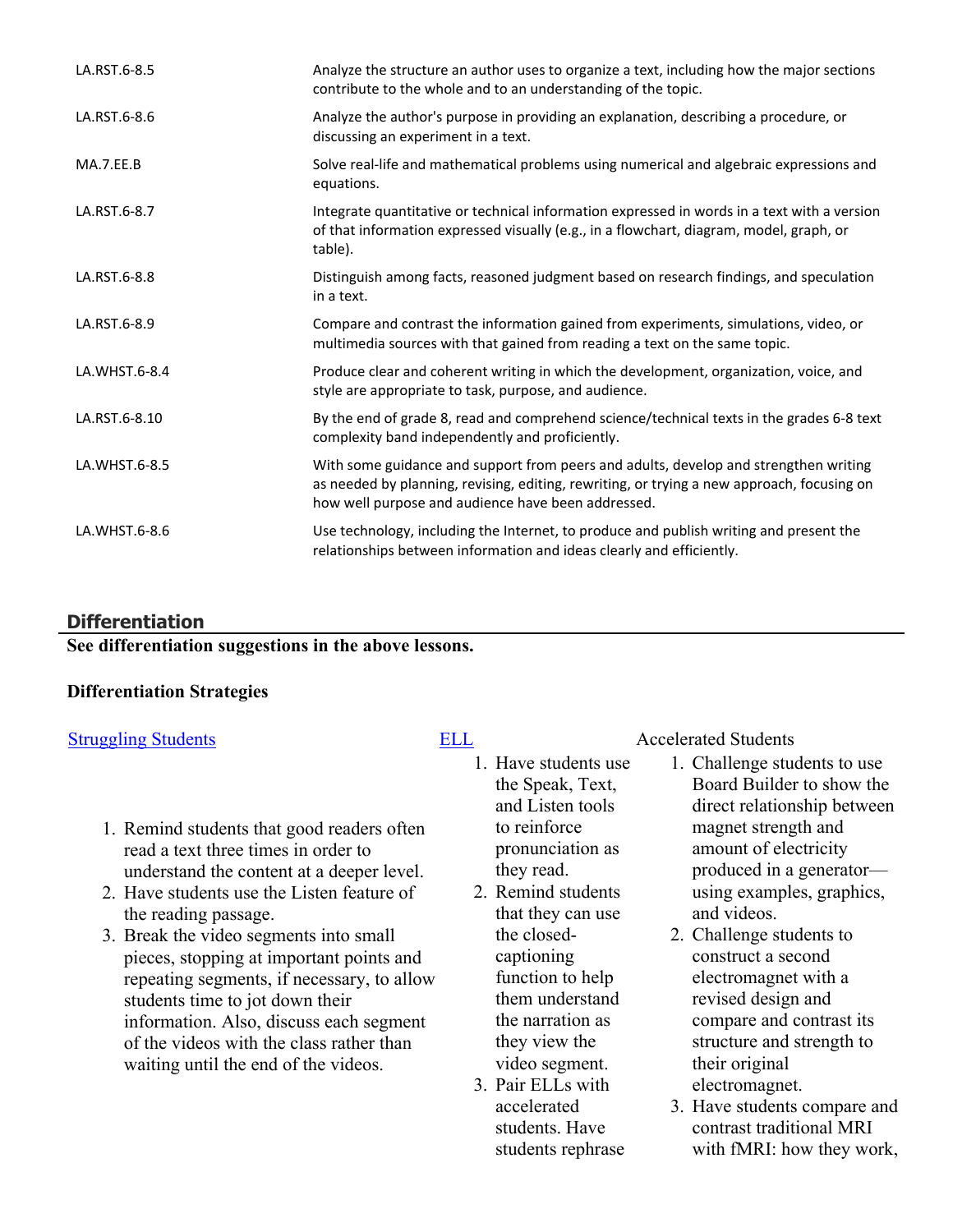| LA.RST.6-8.5  | Analyze the structure an author uses to organize a text, including how the major sections<br>contribute to the whole and to an understanding of the topic.                                                                               |
|---------------|------------------------------------------------------------------------------------------------------------------------------------------------------------------------------------------------------------------------------------------|
| LA.RST.6-8.6  | Analyze the author's purpose in providing an explanation, describing a procedure, or<br>discussing an experiment in a text.                                                                                                              |
| MA.7.EE.B     | Solve real-life and mathematical problems using numerical and algebraic expressions and<br>equations.                                                                                                                                    |
| LA.RST.6-8.7  | Integrate quantitative or technical information expressed in words in a text with a version<br>of that information expressed visually (e.g., in a flowchart, diagram, model, graph, or<br>table).                                        |
| LA.RST.6-8.8  | Distinguish among facts, reasoned judgment based on research findings, and speculation<br>in a text.                                                                                                                                     |
| LA.RST.6-8.9  | Compare and contrast the information gained from experiments, simulations, video, or<br>multimedia sources with that gained from reading a text on the same topic.                                                                       |
| LA.WHST.6-8.4 | Produce clear and coherent writing in which the development, organization, voice, and<br>style are appropriate to task, purpose, and audience.                                                                                           |
| LA.RST.6-8.10 | By the end of grade 8, read and comprehend science/technical texts in the grades 6-8 text<br>complexity band independently and proficiently.                                                                                             |
| LA.WHST.6-8.5 | With some guidance and support from peers and adults, develop and strengthen writing<br>as needed by planning, revising, editing, rewriting, or trying a new approach, focusing on<br>how well purpose and audience have been addressed. |
| LA.WHST.6-8.6 | Use technology, including the Internet, to produce and publish writing and present the<br>relationships between information and ideas clearly and efficiently.                                                                           |

### **Differentiation**

**See differentiation suggestions in the above lessons.**

### **Differentiation Strategies**

- 1. Remind students that good readers often read a text three times in order to understand the content at a deeper level.
- 2. Have students use the Listen feature of the reading passage.
- 3. Break the video segments into small pieces, stopping at important points and repeating segments, if necessary, to allow students time to jot down their information. Also, discuss each segment of the videos with the class rather than waiting until the end of the videos.

- 1. Have students use the Speak, Text, and Listen tools to reinforce pronunciation as they read.
- 2. Remind students that they can use the closedcaptioning function to help them understand the narration as they view the video segment.
- 3. Pair ELLs with accelerated students. Have students rephrase

### [Struggling Students](https://app.discoveryeducation.com/player/view/assetGuid/4995767F-D634-40C6-B25B-BDEA06E14F90) **[ELL](https://app.discoveryeducation.com/player/view/assetGuid/D727DF69-B79B-4A92-AA1F-CE23C74D98D9)** Accelerated Students

- 1. Challenge students to use Board Builder to show the direct relationship between magnet strength and amount of electricity produced in a generator using examples, graphics, and videos.
- 2. Challenge students to construct a second electromagnet with a revised design and compare and contrast its structure and strength to their original electromagnet.
- 3. Have students compare and contrast traditional MRI with fMRI: how they work,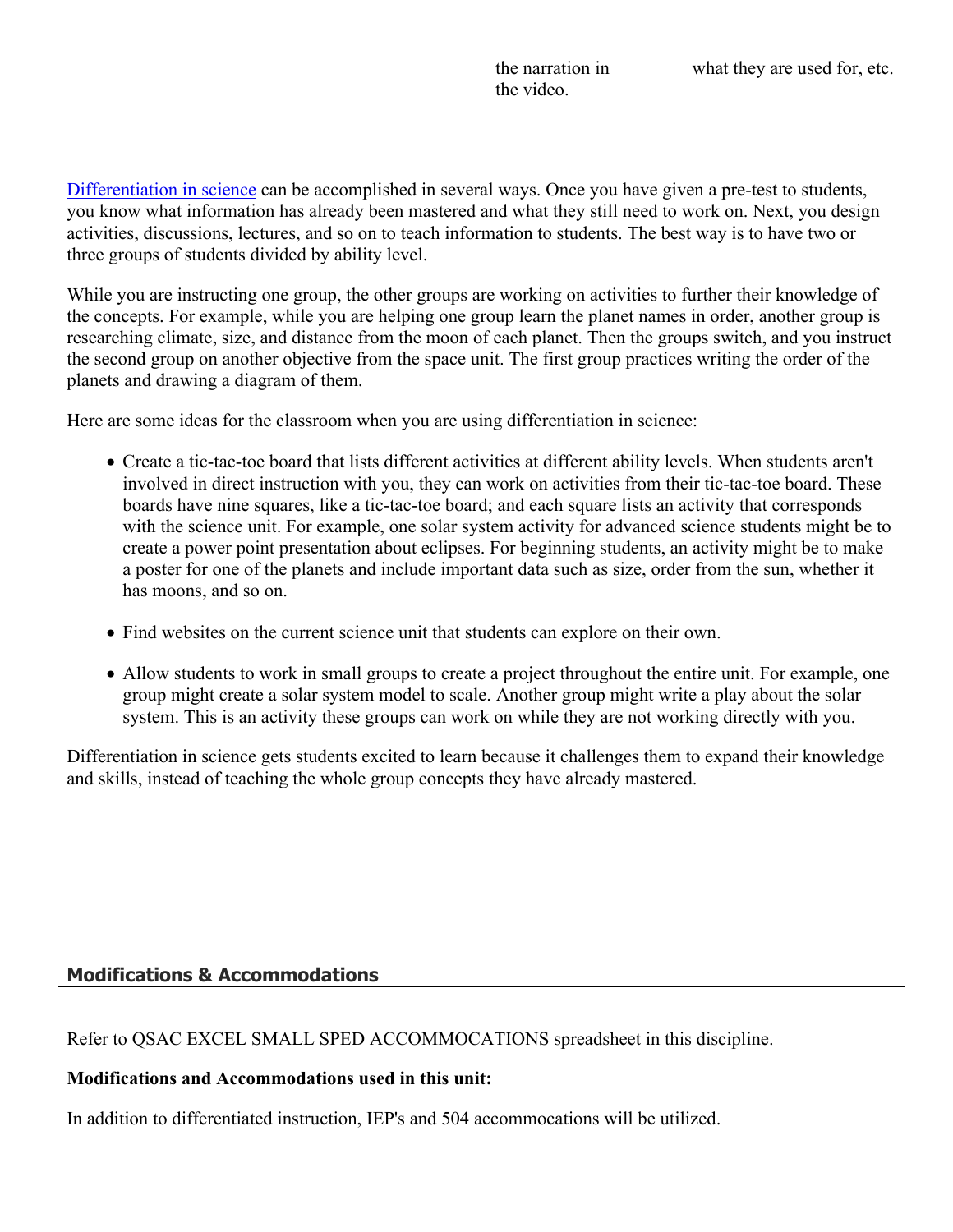[Differentiation in science](http://www.brighthubeducation.com/teaching-gifted-students/65181-differentiation-techniques-and-activities-in-the-classroom-for-gifted-students/) can be accomplished in several ways. Once you have given a pre-test to students, you know what information has already been mastered and what they still need to work on. Next, you design activities, discussions, lectures, and so on to teach information to students. The best way is to have two or three groups of students divided by ability level.

While you are instructing one group, the other groups are working on activities to further their knowledge of the concepts. For example, while you are helping one group learn the planet names in order, another group is researching climate, size, and distance from the moon of each planet. Then the groups switch, and you instruct the second group on another objective from the space unit. The first group practices writing the order of the planets and drawing a diagram of them.

Here are some ideas for the classroom when you are using differentiation in science:

- Create a tic-tac-toe board that lists different activities at different ability levels. When students aren't involved in direct instruction with you, they can work on activities from their tic-tac-toe board. These boards have nine squares, like a tic-tac-toe board; and each square lists an activity that corresponds with the science unit. For example, one solar system activity for advanced science students might be to create a power point presentation about eclipses. For beginning students, an activity might be to make a poster for one of the planets and include important data such as size, order from the sun, whether it has moons, and so on.
- Find websites on the current science unit that students can explore on their own.
- Allow students to work in small groups to create a project throughout the entire unit. For example, one group might create a solar system model to scale. Another group might write a play about the solar system. This is an activity these groups can work on while they are not working directly with you.

Differentiation in science gets students excited to learn because it challenges them to expand their knowledge and skills, instead of teaching the whole group concepts they have already mastered.

### **Modifications & Accommodations**

Refer to QSAC EXCEL SMALL SPED ACCOMMOCATIONS spreadsheet in this discipline.

### **Modifications and Accommodations used in this unit:**

In addition to differentiated instruction, IEP's and 504 accommocations will be utilized.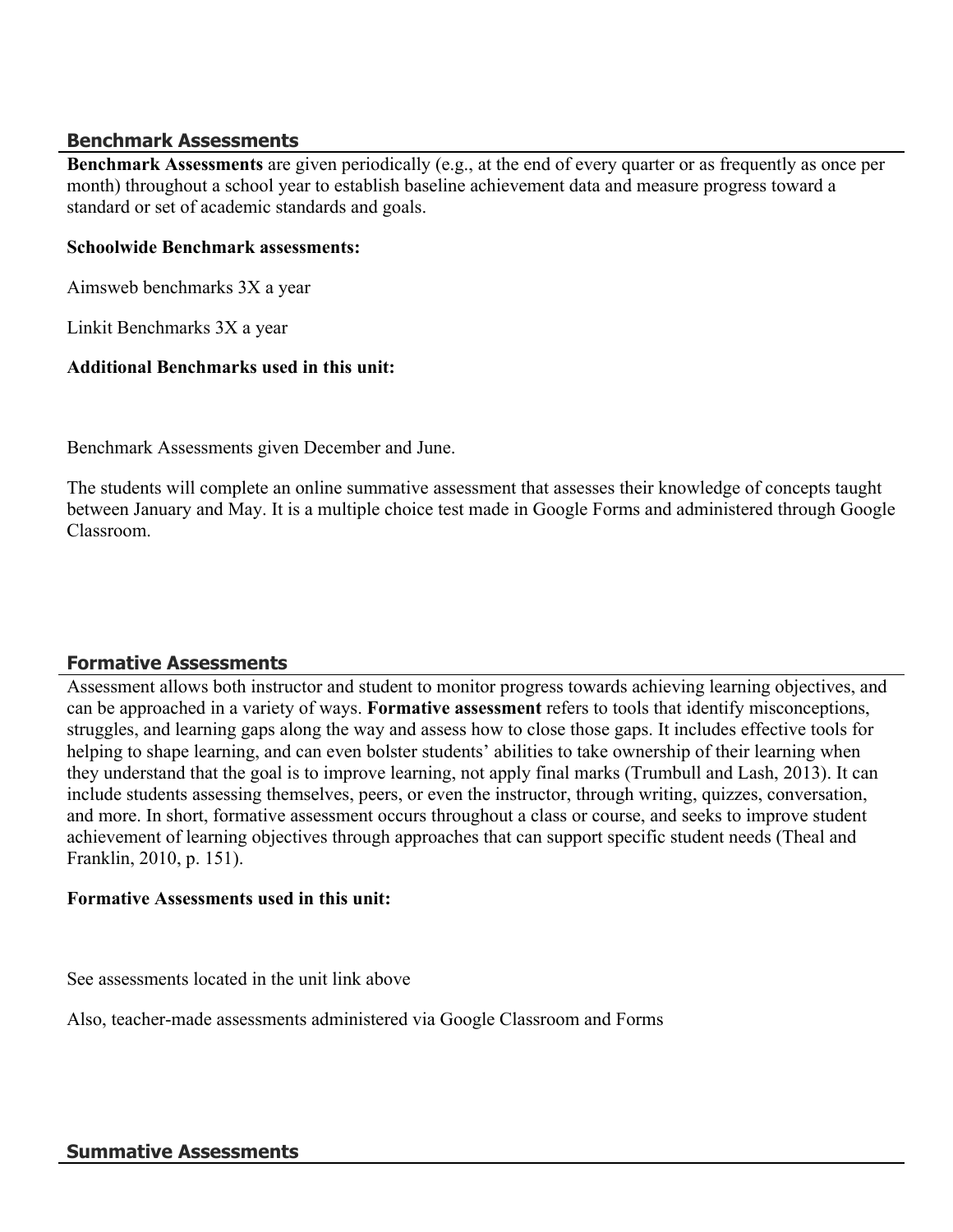### **Benchmark Assessments**

**Benchmark Assessments** are given periodically (e.g., at the end of every quarter or as frequently as once per month) throughout a school year to establish baseline achievement data and measure progress toward a standard or set of academic standards and goals.

### **Schoolwide Benchmark assessments:**

Aimsweb benchmarks 3X a year

Linkit Benchmarks 3X a year

### **Additional Benchmarks used in this unit:**

Benchmark Assessments given December and June.

The students will complete an online summative assessment that assesses their knowledge of concepts taught between January and May. It is a multiple choice test made in Google Forms and administered through Google Classroom.

### **Formative Assessments**

Assessment allows both instructor and student to monitor progress towards achieving learning objectives, and can be approached in a variety of ways. **Formative assessment** refers to tools that identify misconceptions, struggles, and learning gaps along the way and assess how to close those gaps. It includes effective tools for helping to shape learning, and can even bolster students' abilities to take ownership of their learning when they understand that the goal is to improve learning, not apply final marks (Trumbull and Lash, 2013). It can include students assessing themselves, peers, or even the instructor, through writing, quizzes, conversation, and more. In short, formative assessment occurs throughout a class or course, and seeks to improve student achievement of learning objectives through approaches that can support specific student needs (Theal and Franklin, 2010, p. 151).

### **Formative Assessments used in this unit:**

See assessments located in the unit link above

Also, teacher-made assessments administered via Google Classroom and Forms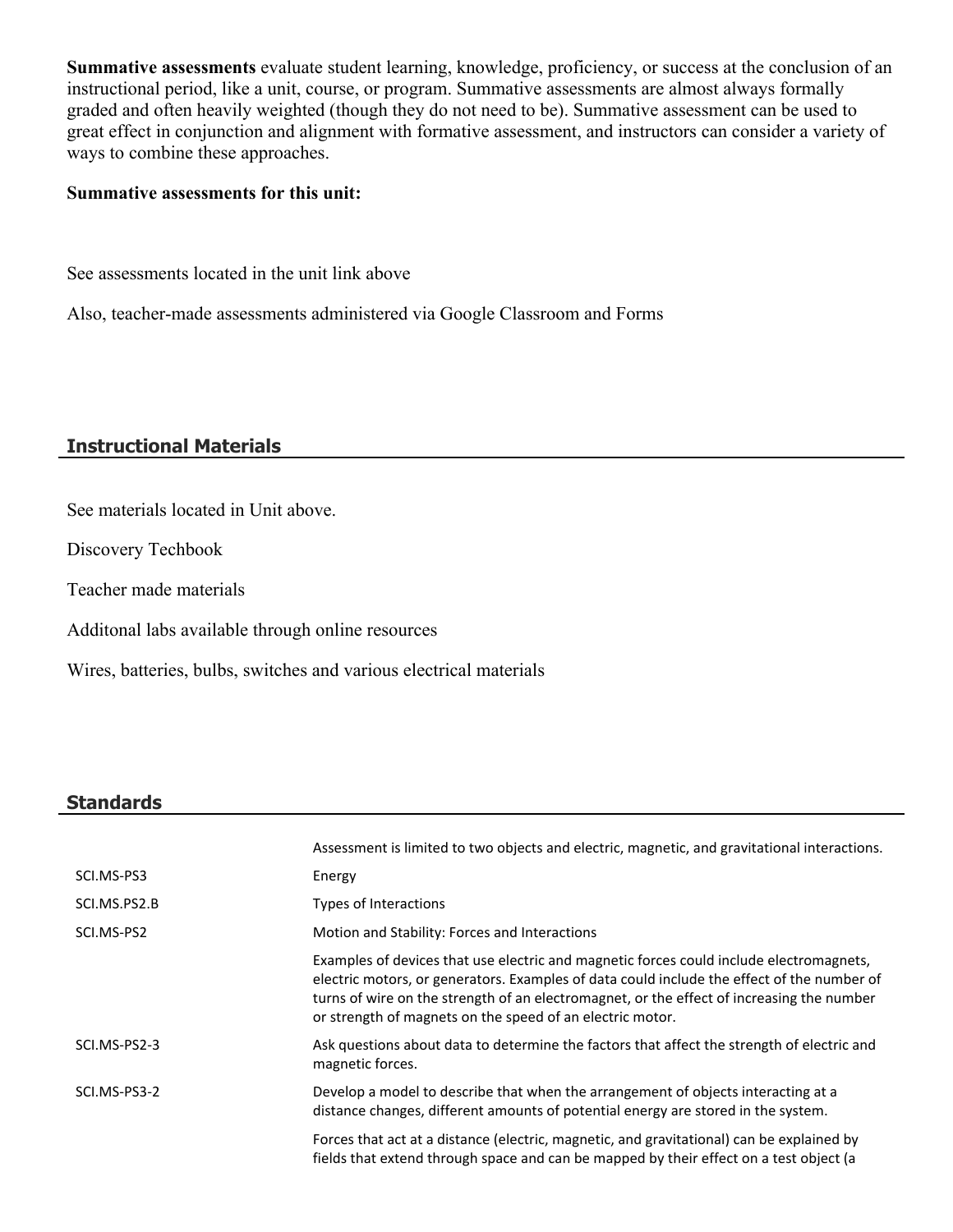**Summative assessments** evaluate student learning, knowledge, proficiency, or success at the conclusion of an instructional period, like a unit, course, or program. Summative assessments are almost always formally graded and often heavily weighted (though they do not need to be). Summative assessment can be used to great effect in conjunction and alignment with formative assessment, and instructors can consider a variety of ways to combine these approaches.

### **Summative assessments for this unit:**

See assessments located in the unit link above

Also, teacher-made assessments administered via Google Classroom and Forms

### **Instructional Materials**

See materials located in Unit above.

Discovery Techbook

Teacher made materials

Additonal labs available through online resources

Wires, batteries, bulbs, switches and various electrical materials

### **Standards**

|              | Assessment is limited to two objects and electric, magnetic, and gravitational interactions.                                                                                                                                                                                                                                                    |
|--------------|-------------------------------------------------------------------------------------------------------------------------------------------------------------------------------------------------------------------------------------------------------------------------------------------------------------------------------------------------|
| SCI.MS-PS3   | Energy                                                                                                                                                                                                                                                                                                                                          |
| SCI.MS.PS2.B | Types of Interactions                                                                                                                                                                                                                                                                                                                           |
| SCI.MS-PS2   | Motion and Stability: Forces and Interactions                                                                                                                                                                                                                                                                                                   |
|              | Examples of devices that use electric and magnetic forces could include electromagnets,<br>electric motors, or generators. Examples of data could include the effect of the number of<br>turns of wire on the strength of an electromagnet, or the effect of increasing the number<br>or strength of magnets on the speed of an electric motor. |
| SCI.MS-PS2-3 | Ask questions about data to determine the factors that affect the strength of electric and<br>magnetic forces.                                                                                                                                                                                                                                  |
| SCI.MS-PS3-2 | Develop a model to describe that when the arrangement of objects interacting at a<br>distance changes, different amounts of potential energy are stored in the system.                                                                                                                                                                          |
|              | Forces that act at a distance (electric, magnetic, and gravitational) can be explained by<br>fields that extend through space and can be mapped by their effect on a test object (a                                                                                                                                                             |